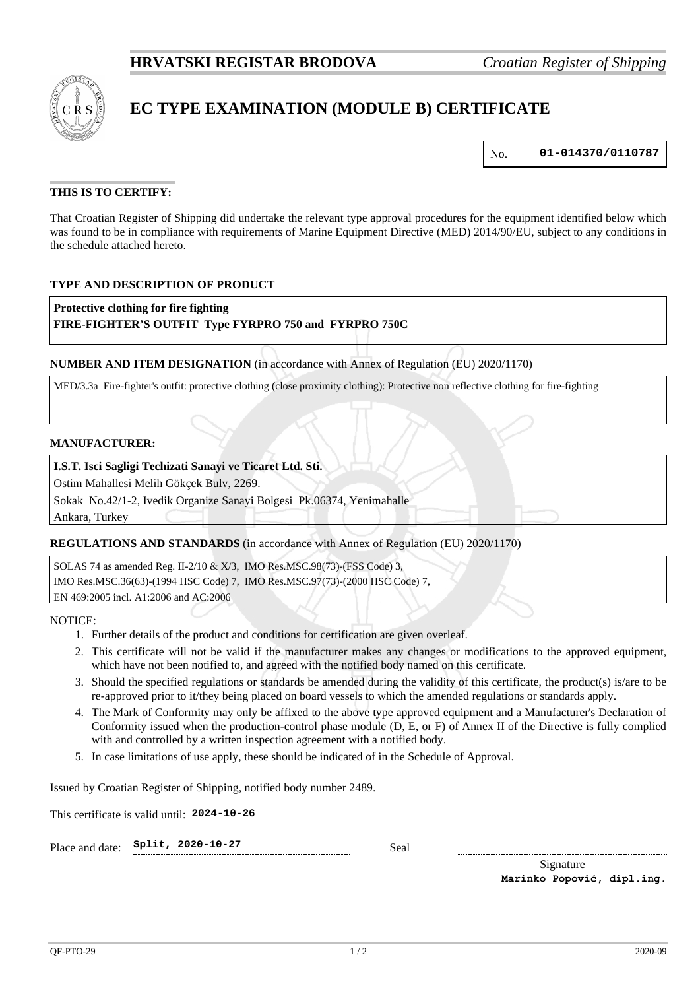

# **EC TYPE EXAMINATION (MODULE B) CERTIFICATE**

No. **01-014370/0110787**

## **THIS IS TO CERTIFY:**

That Croatian Register of Shipping did undertake the relevant type approval procedures for the equipment identified below which was found to be in compliance with requirements of Marine Equipment Directive (MED) 2014/90/EU, subject to any conditions in the schedule attached hereto.

#### **TYPE AND DESCRIPTION OF PRODUCT**

**Protective clothing for fire fighting**

#### **FIRE-FIGHTER'S OUTFIT Type FYRPRO 750 and FYRPRO 750C**

**NUMBER AND ITEM DESIGNATION** (in accordance with Annex of Regulation (EU) 2020/1170)

MED/3.3a Fire-fighter's outfit: protective clothing (close proximity clothing): Protective non reflective clothing for fire-fighting

#### **MANUFACTURER:**

#### **I.S.T. Isci Sagligi Techizati Sanayi ve Ticaret Ltd. Sti.**

Ostim Mahallesi Melih Gökçek Bulv, 2269.

Sokak No.42/1-2, Ivedik Organize Sanayi Bolgesi Pk.06374, Yenimahalle

Ankara, Turkey

#### **REGULATIONS AND STANDARDS** (in accordance with Annex of Regulation (EU) 2020/1170)

SOLAS 74 as amended Reg. II-2/10 & X/3, IMO Res.MSC.98(73)-(FSS Code) 3, IMO Res.MSC.36(63)-(1994 HSC Code) 7, IMO Res.MSC.97(73)-(2000 HSC Code) 7, EN 469:2005 incl. A1:2006 and AC:2006

NOTICE:

- 1. Further details of the product and conditions for certification are given overleaf.
- 2. This certificate will not be valid if the manufacturer makes any changes or modifications to the approved equipment, which have not been notified to, and agreed with the notified body named on this certificate.
- 3. Should the specified regulations or standards be amended during the validity of this certificate, the product(s) is/are to be re-approved prior to it/they being placed on board vessels to which the amended regulations or standards apply.
- 4. The Mark of Conformity may only be affixed to the above type approved equipment and a Manufacturer's Declaration of Conformity issued when the production-control phase module (D, E, or F) of Annex II of the Directive is fully complied with and controlled by a written inspection agreement with a notified body.
- 5. In case limitations of use apply, these should be indicated of in the Schedule of Approval.

Issued by Croatian Register of Shipping, notified body number 2489.

This certificate is valid until: **2024-10-26**

| Place and date: $Split, 2020-10-27$ |  | Seal |
|-------------------------------------|--|------|
|                                     |  |      |

Signature **Marinko Popović, dipl.ing.**